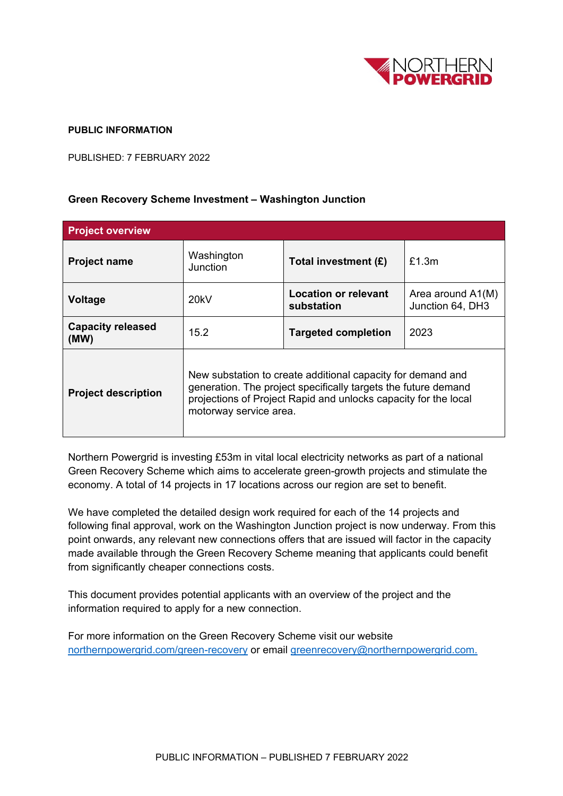

## **PUBLIC INFORMATION**

PUBLISHED: 7 FEBRUARY 2022

## **Green Recovery Scheme Investment – Washington Junction**

| <b>Project overview</b>          |                                                                                                                                                                                                                            |                                    |                                       |
|----------------------------------|----------------------------------------------------------------------------------------------------------------------------------------------------------------------------------------------------------------------------|------------------------------------|---------------------------------------|
| <b>Project name</b>              | Washington<br>Junction                                                                                                                                                                                                     | Total investment (£)               | £1.3m                                 |
| Voltage                          | 20kV                                                                                                                                                                                                                       | Location or relevant<br>substation | Area around A1(M)<br>Junction 64, DH3 |
| <b>Capacity released</b><br>(MW) | 15.2                                                                                                                                                                                                                       | <b>Targeted completion</b>         | 2023                                  |
| <b>Project description</b>       | New substation to create additional capacity for demand and<br>generation. The project specifically targets the future demand<br>projections of Project Rapid and unlocks capacity for the local<br>motorway service area. |                                    |                                       |

Northern Powergrid is investing £53m in vital local electricity networks as part of a national Green Recovery Scheme which aims to accelerate green-growth projects and stimulate the economy. A total of 14 projects in 17 locations across our region are set to benefit.

We have completed the detailed design work required for each of the 14 projects and following final approval, work on the Washington Junction project is now underway. From this point onwards, any relevant new connections offers that are issued will factor in the capacity made available through the Green Recovery Scheme meaning that applicants could benefit from significantly cheaper connections costs.

This document provides potential applicants with an overview of the project and the information required to apply for a new connection.

For more information on the Green Recovery Scheme visit our website northernpowergrid.com/green-recovery or email greenrecovery@northernpowergrid.com.